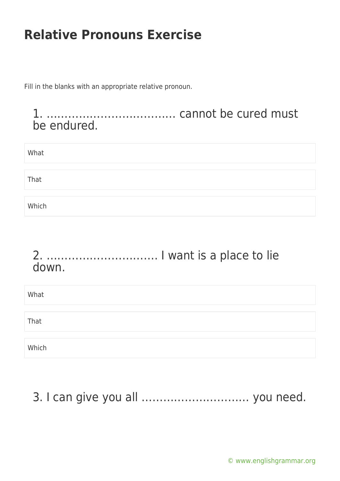Fill in the blanks with an appropriate relative pronoun.

#### 1. ……………………………… cannot be cured must be endured.

| What  |  |  |  |
|-------|--|--|--|
|       |  |  |  |
| That  |  |  |  |
|       |  |  |  |
| Which |  |  |  |

#### 2. …………………………. I want is a place to lie down.

| What  |  |  |
|-------|--|--|
| That  |  |  |
| Which |  |  |

# 3. I can give you all ………………………… you need.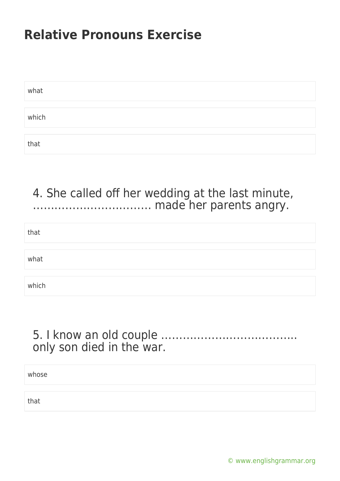| what  |  |  |
|-------|--|--|
|       |  |  |
| which |  |  |
|       |  |  |
| that  |  |  |

### 4. She called off her wedding at the last minute, …………………………… made her parents angry.

| that  |  |
|-------|--|
| what  |  |
| which |  |

### 5. I know an old couple ……………………………….. only son died in the war.

| whose |  |
|-------|--|
|       |  |
| that  |  |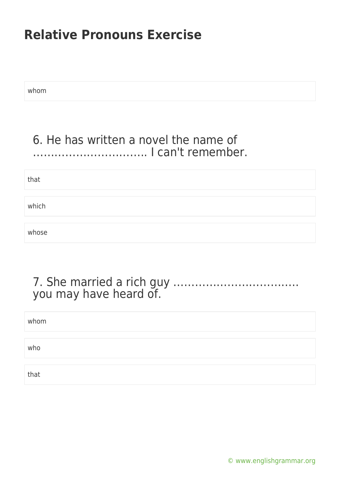whom

### 6. He has written a novel the name of ………………………….. I can't remember.

that

which

whose

### 7. She married a rich guy …………………………….. you may have heard of.

| whom |  |
|------|--|
|      |  |
| who  |  |
|      |  |
| that |  |

[© www.englishgrammar.org](https://www.englishgrammar.org/)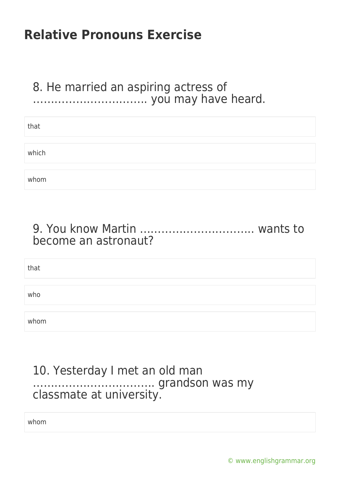### 8. He married an aspiring actress of ..................................... you may have heard.

| that  |  |
|-------|--|
|       |  |
| which |  |
|       |  |
| whom  |  |

### 9. You know Martin ………………………….. wants to become an astronaut?

| that |  |  |
|------|--|--|
|      |  |  |
| who  |  |  |
|      |  |  |
| whom |  |  |

#### 10. Yesterday I met an old man ……………………………. grandson was my classmate at university.

whom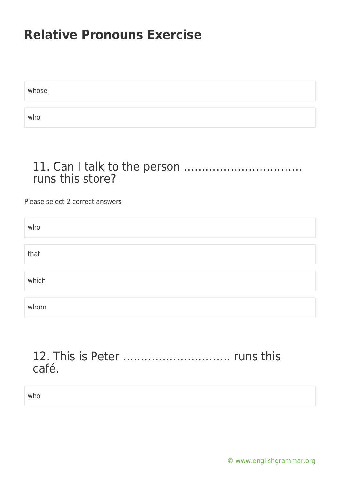whose who

### 11. Can I talk to the person …………………………… runs this store?

Please select 2 correct answers

| who   |  |
|-------|--|
|       |  |
| that  |  |
|       |  |
| which |  |
|       |  |
| whom  |  |

### 12. This is Peter ………………………… runs this café.

who

[© www.englishgrammar.org](https://www.englishgrammar.org/)